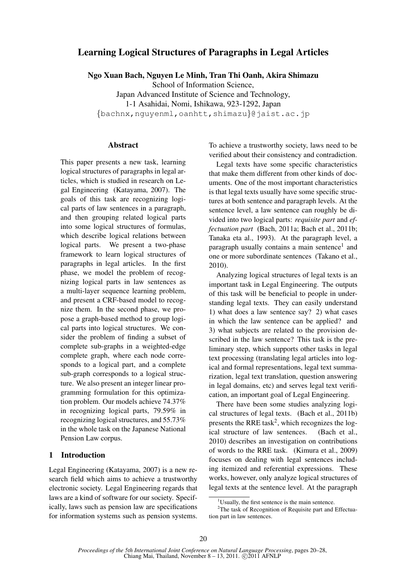# Learning Logical Structures of Paragraphs in Legal Articles

Ngo Xuan Bach, Nguyen Le Minh, Tran Thi Oanh, Akira Shimazu

School of Information Science,

Japan Advanced Institute of Science and Technology, 1-1 Asahidai, Nomi, Ishikawa, 923-1292, Japan {bachnx,nguyenml,oanhtt,shimazu}@jaist.ac.jp

## Abstract

This paper presents a new task, learning logical structures of paragraphs in legal articles, which is studied in research on Legal Engineering (Katayama, 2007). The goals of this task are recognizing logical parts of law sentences in a paragraph, and then grouping related logical parts into some logical structures of formulas, which describe logical relations between logical parts. We present a two-phase framework to learn logical structures of paragraphs in legal articles. In the first phase, we model the problem of recognizing logical parts in law sentences as a multi-layer sequence learning problem, and present a CRF-based model to recognize them. In the second phase, we propose a graph-based method to group logical parts into logical structures. We consider the problem of finding a subset of complete sub-graphs in a weighted-edge complete graph, where each node corresponds to a logical part, and a complete sub-graph corresponds to a logical structure. We also present an integer linear programming formulation for this optimization problem. Our models achieve 74.37% in recognizing logical parts, 79.59% in recognizing logical structures, and 55.73% in the whole task on the Japanese National Pension Law corpus.

# 1 Introduction

Legal Engineering (Katayama, 2007) is a new research field which aims to achieve a trustworthy electronic society. Legal Engineering regards that laws are a kind of software for our society. Specifically, laws such as pension law are specifications for information systems such as pension systems. To achieve a trustworthy society, laws need to be verified about their consistency and contradiction.

Legal texts have some specific characteristics that make them different from other kinds of documents. One of the most important characteristics is that legal texts usually have some specific structures at both sentence and paragraph levels. At the sentence level, a law sentence can roughly be divided into two logical parts: *requisite part* and *effectuation part* (Bach, 2011a; Bach et al., 2011b; Tanaka eta al., 1993). At the paragraph level, a paragraph usually contains a main sentence<sup>1</sup> and one or more subordinate sentences (Takano et al., 2010).

Analyzing logical structures of legal texts is an important task in Legal Engineering. The outputs of this task will be beneficial to people in understanding legal texts. They can easily understand 1) what does a law sentence say? 2) what cases in which the law sentence can be applied? and 3) what subjects are related to the provision described in the law sentence? This task is the preliminary step, which supports other tasks in legal text processing (translating legal articles into logical and formal representations, legal text summarization, legal text translation, question answering in legal domains, etc) and serves legal text verification, an important goal of Legal Engineering.

There have been some studies analyzing logical structures of legal texts. (Bach et al., 2011b) presents the RRE task<sup>2</sup>, which recognizes the logical structure of law sentences. (Bach et al., 2010) describes an investigation on contributions of words to the RRE task. (Kimura et al., 2009) focuses on dealing with legal sentences including itemized and referential expressions. These works, however, only analyze logical structures of legal texts at the sentence level. At the paragraph

<sup>&</sup>lt;sup>1</sup>Usually, the first sentence is the main sentence.

<sup>&</sup>lt;sup>2</sup>The task of Recognition of Requisite part and Effectuation part in law sentences.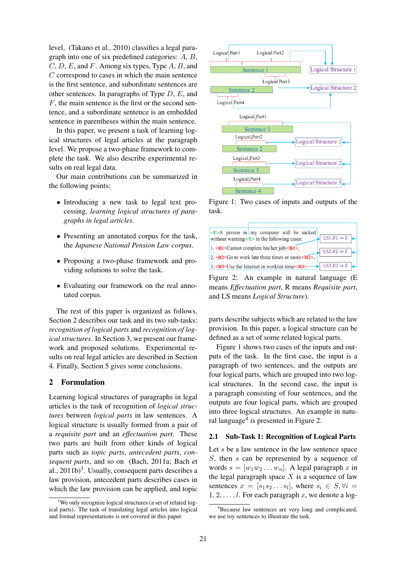level, (Takano et al., 2010) classifies a legal paragraph into one of six predefined categories: A, B,  $C, D, E$ , and F. Among six types, Type A, B, and C correspond to cases in which the main sentence is the first sentence, and subordinate sentences are other sentences. In paragraphs of Type  $D$ ,  $E$ , and  $F$ , the main sentence is the first or the second sentence, and a subordinate sentence is an embedded sentence in parentheses within the main sentence.

In this paper, we present a task of learning logical structures of legal articles at the paragraph level. We propose a two-phase framework to complete the task. We also describe experimental results on real legal data.

Our main contributions can be summarized in the following points:

- Introducing a new task to legal text processing, *learning logical structures of paragraphs in legal articles*.
- Presenting an annotated corpus for the task, the *Japanese National Pension Law corpus*.
- Proposing a two-phase framework and providing solutions to solve the task.
- Evaluating our framework on the real annotated corpus.

The rest of this paper is organized as follows. Section 2 describes our task and its two sub-tasks: *recognition of logical parts* and *recognition of logical structures*. In Section 3, we present our framework and proposed solutions. Experimental results on real legal articles are described in Section 4. Finally, Section 5 gives some conclusions.

# 2 Formulation

Learning logical structures of paragraphs in legal articles is the task of recognition of *logical structures* between *logical parts* in law sentences. A logical structure is usually formed from a pair of a *requisite part* and an *effectuation part*. These two parts are built from other kinds of logical parts such as *topic parts*, *antecedent parts*, *consequent parts*, and so on (Bach, 2011a; Bach et al.,  $2011b)^3$ . Usually, consequent parts describes a law provision, antecedent parts describes cases in which the law provision can be applied, and topic



Figure 1: Two cases of inputs and outputs of the task.



Figure 2: An example in natural language (E means *Effectuation part*, R means *Requisite part*, and LS means *Logical Structure*).

parts describe subjects which are related to the law provision. In this paper, a logical structure can be defined as a set of some related logical parts.

Figure 1 shows two cases of the inputs and outputs of the task. In the first case, the input is a paragraph of two sentences, and the outputs are four logical parts, which are grouped into two logical structures. In the second case, the input is a paragraph consisting of four sentences, and the outputs are four logical parts, which are grouped into three logical structures. An example in natural language<sup>4</sup> is presented in Figure 2.

## 2.1 Sub-Task 1: Recognition of Logical Parts

Let  $s$  be a law sentence in the law sentence space S, then s can be represented by a sequence of words  $s = [w_1w_2 \dots w_n]$ . A legal paragraph x in the legal paragraph space  $X$  is a sequence of law sentences  $x = [s_1 s_2 \dots s_l]$ , where  $s_i \in S, \forall i =$  $1, 2, \ldots, l$ . For each paragraph x, we denote a log-

<sup>&</sup>lt;sup>3</sup>We only recognize logical structures (a set of related logical parts). The task of translating legal articles into logical and formal representations is not covered in this paper.

<sup>&</sup>lt;sup>4</sup>Because law sentences are very long and complicated, we use toy sentences to illustrate the task.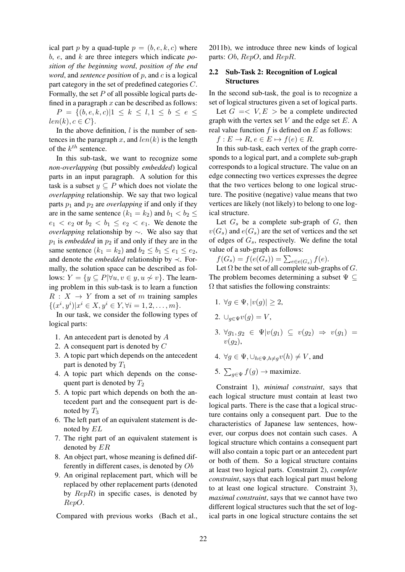ical part p by a quad-tuple  $p = (b, e, k, c)$  where b, e, and k are three integers which indicate *position of the beginning word*, *position of the end word*, and *sentence position* of p, and c is a logical part category in the set of predefined categories C. Formally, the set  $P$  of all possible logical parts defined in a paragraph  $x$  can be described as follows:

 $P = \{(b, e, k, c) | 1 \leq k \leq l, 1 \leq b \leq e \leq$  $len(k), c \in C$ .

In the above definition,  $l$  is the number of sentences in the paragraph x, and  $len(k)$  is the length of the  $k^{th}$  sentence.

In this sub-task, we want to recognize some *non-overlapping* (but possibly *embedded*) logical parts in an input paragraph. A solution for this task is a subset  $y \subseteq P$  which does not violate the *overlapping* relationship. We say that two logical parts  $p_1$  and  $p_2$  are *overlapping* if and only if they are in the same sentence  $(k_1 = k_2)$  and  $b_1 < b_2 \le$  $e_1 < e_2$  or  $b_2 < b_1 \le e_2 < e_1$ . We denote the *overlapping* relationship by ∼. We also say that  $p_1$  is *embedded* in  $p_2$  if and only if they are in the same sentence  $(k_1 = k_2)$  and  $b_2 \leq b_1 \leq e_1 \leq e_2$ , and denote the *embedded* relationship by ≺. Formally, the solution space can be described as follows:  $Y = \{y \subseteq P | \forall u, v \in y, u \not\sim v\}$ . The learning problem in this sub-task is to learn a function  $R : X \rightarrow Y$  from a set of m training samples  $\{(x^i, y^i)|x^i \in X, y^i \in Y, \forall i = 1, 2, \dots, m\}.$ 

In our task, we consider the following types of logical parts:

- 1. An antecedent part is denoted by A
- 2. A consequent part is denoted by C
- 3. A topic part which depends on the antecedent part is denoted by  $T_1$
- 4. A topic part which depends on the consequent part is denoted by  $T_2$
- 5. A topic part which depends on both the antecedent part and the consequent part is denoted by  $T_3$
- 6. The left part of an equivalent statement is denoted by EL
- 7. The right part of an equivalent statement is denoted by ER
- 8. An object part, whose meaning is defined differently in different cases, is denoted by Ob
- 9. An original replacement part, which will be replaced by other replacement parts (denoted by  $RepR$ ) in specific cases, is denoted by RepO.

Compared with previous works (Bach et al.,

2011b), we introduce three new kinds of logical parts: Ob, RepO, and RepR.

## 2.2 Sub-Task 2: Recognition of Logical **Structures**

In the second sub-task, the goal is to recognize a set of logical structures given a set of logical parts.

Let  $G = \langle V, E \rangle$  be a complete undirected graph with the vertex set  $V$  and the edge set  $E$ . A real value function  $f$  is defined on  $E$  as follows:

 $f: E \to R, e \in E \mapsto f(e) \in R$ .

In this sub-task, each vertex of the graph corresponds to a logical part, and a complete sub-graph corresponds to a logical structure. The value on an edge connecting two vertices expresses the degree that the two vertices belong to one logical structure. The positive (negative) value means that two vertices are likely (not likely) to belong to one logical structure.

Let  $G_s$  be a complete sub-graph of  $G_s$ , then  $v(G_s)$  and  $e(G_s)$  are the set of vertices and the set of edges of  $G_s$ , respectively. We define the total value of a sub-graph as follows:

 $f(G_s) = f(e(G_s)) = \sum_{e \in e(G_s)} f(e).$ 

Let  $\Omega$  be the set of all complete sub-graphs of G. The problem becomes determining a subset  $\Psi \subseteq$  $\Omega$  that satisfies the following constraints:

- 1.  $\forall a \in \Psi, |v(a)| > 2$ ,
- 2.  $\bigcup_{g \in \Psi} v(g) = V$ ,
- 3.  $\forall g_1, g_2 \in \Psi | v(g_1) \subseteq v(g_2) \Rightarrow v(g_1) =$  $v(a_2)$ ,
- 4.  $\forall g \in \Psi, \cup_{h \in \Psi, h \neq q} v(h) \neq V$ , and
- 5.  $\sum_{g \in \Psi} f(g) \to$  maximize.

Constraint 1), *minimal constraint*, says that each logical structure must contain at least two logical parts. There is the case that a logical structure contains only a consequent part. Due to the characteristics of Japanese law sentences, however, our corpus does not contain such cases. A logical structure which contains a consequent part will also contain a topic part or an antecedent part or both of them. So a logical structure contains at least two logical parts. Constraint 2), *complete constraint*, says that each logical part must belong to at least one logical structure. Constraint 3), *maximal constraint*, says that we cannot have two different logical structures such that the set of logical parts in one logical structure contains the set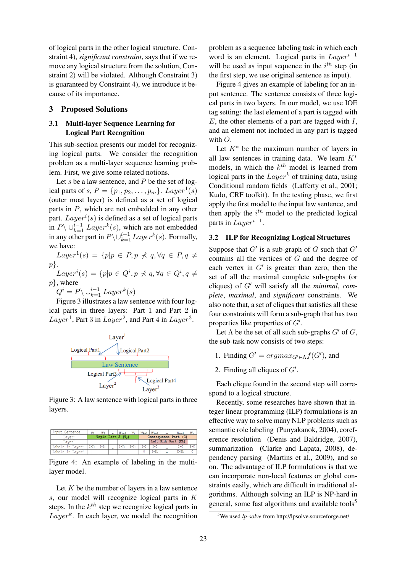of logical parts in the other logical structure. Constraint 4), *significant constraint*, says that if we remove any logical structure from the solution, Constraint 2) will be violated. Although Constraint 3) is guaranteed by Constraint 4), we introduce it because of its importance.

#### 3 Proposed Solutions

# 3.1 Multi-layer Sequence Learning for Logical Part Recognition

This sub-section presents our model for recognizing logical parts. We consider the recognition problem as a multi-layer sequence learning problem. First, we give some related notions.

Let  $s$  be a law sentence, and  $P$  be the set of logical parts of  $s, P = \{p_1, p_2, \dots, p_m\}$ .  $Layer^1(s)$ (outer most layer) is defined as a set of logical parts in P, which are not embedded in any other part.  $Layer^i(s)$  is defined as a set of logical parts in  $P \setminus \bigcup_{k=1}^{i-1} Layer^k(s)$ , which are not embedded in any other part in  $P \setminus \cup_{k=1}^{i-1} Layer^k(s)$ . Formally, we have:

 $Layer^1(s) = \{p|p \in P, p \nless q, \forall q \in P, q \neq$  $p$ .

 $Layer^i(s) = \{p|p \in Q^i, p \nless q, \forall q \in Q^i, q \neq$  $p\}$ , where

 $Q^i = P \backslash \bigcup_{k=1}^{i-1} Layer^k(s)$ 

Figure 3 illustrates a law sentence with four logical parts in three layers: Part 1 and Part 2 in  $Layer<sup>1</sup>$ , Part 3 in  $Layer<sup>2</sup>$ , and Part 4 in  $Layer<sup>3</sup>$ .



Figure 3: A law sentence with logical parts in three layers.



Figure 4: An example of labeling in the multilayer model.

Let  $K$  be the number of layers in a law sentence s, our model will recognize logical parts in K steps. In the  $k^{th}$  step we recognize logical parts in  $Layer^k$ . In each layer, we model the recognition

problem as a sequence labeling task in which each word is an element. Logical parts in  $Lauer^{i-1}$ will be used as input sequence in the  $i^{th}$  step (in the first step, we use original sentence as input).

Figure 4 gives an example of labeling for an input sentence. The sentence consists of three logical parts in two layers. In our model, we use IOE tag setting: the last element of a part is tagged with  $E$ , the other elements of a part are tagged with  $I$ , and an element not included in any part is tagged with O.

Let  $K^*$  be the maximum number of layers in all law sentences in training data. We learn  $K^*$ models, in which the  $k^{th}$  model is learned from logical parts in the  $Layer^k$  of training data, using Conditional random fields (Lafferty et al., 2001; Kudo, CRF toolkit). In the testing phase, we first apply the first model to the input law sentence, and then apply the  $i<sup>th</sup>$  model to the predicted logical parts in  $Layer^{i-1}$ .

#### 3.2 ILP for Recognizing Logical Structures

Suppose that  $G'$  is a sub-graph of G such that  $G'$ contains all the vertices of G and the degree of each vertex in  $G'$  is greater than zero, then the set of all the maximal complete sub-graphs (or cliques) of  $G'$  will satisfy all the *minimal*, *complete*, *maximal*, and *significant* constraints. We also note that, a set of cliques that satisfies all these four constraints will form a sub-graph that has two properties like properties of  $G'$ .

Let  $\Lambda$  be the set of all such sub-graphs  $G'$  of  $G$ , the sub-task now consists of two steps:

- 1. Finding  $G' = argmax_{G' \in \Lambda} f(G')$ , and
- 2. Finding all cliques of  $G'$ .

Each clique found in the second step will correspond to a logical structure.

Recently, some researches have shown that integer linear programming (ILP) formulations is an effective way to solve many NLP problems such as semantic role labeling (Punyakanok, 2004), coreference resolution (Denis and Baldridge, 2007), summarization (Clarke and Lapata, 2008), dependency parsing (Martins et al., 2009), and so on. The advantage of ILP formulations is that we can incorporate non-local features or global constraints easily, which are difficult in traditional algorithms. Although solving an ILP is NP-hard in general, some fast algorithms and available tools<sup>5</sup>

<sup>5</sup>We used *lp-solve* from http://lpsolve.sourceforge.net/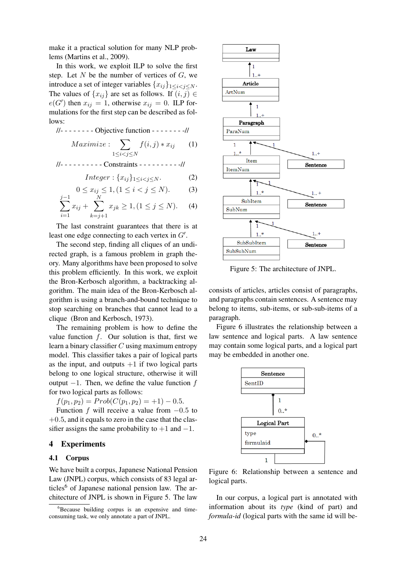make it a practical solution for many NLP problems (Martins et al., 2009).

In this work, we exploit ILP to solve the first step. Let  $N$  be the number of vertices of  $G$ , we introduce a set of integer variables  $\{x_{ij}\}_{1\leq i\leq j\leq N}$ . The values of  $\{x_{ij}\}\$ are set as follows. If  $(i, j) \in$  $e(G')$  then  $x_{ij} = 1$ , otherwise  $x_{ij} = 0$ . ILP formulations for the first step can be described as follows:

$$
1/2 - 2 - 2 - 3 = -1
$$
 Objective function - 3  
Maximize: 
$$
\sum_{1 \le i < j \le N} f(i, j) * x_{ij} \qquad (1)
$$

//- - - - - - - - - - Constraints - - - - - - - - - -//

$$
Integer: \{x_{ij}\}_{1 \le i < j \le N}.\tag{2}
$$

$$
0 \le x_{ij} \le 1, (1 \le i < j \le N). \tag{3}
$$

$$
\sum_{i=1}^{3} x_{ij} + \sum_{k=j+1}^{3} x_{jk} \ge 1, (1 \le j \le N). \tag{4}
$$

The last constraint guarantees that there is at least one edge connecting to each vertex in  $G'$ .

The second step, finding all cliques of an undirected graph, is a famous problem in graph theory. Many algorithms have been proposed to solve this problem efficiently. In this work, we exploit the Bron-Kerbosch algorithm, a backtracking algorithm. The main idea of the Bron-Kerbosch algorithm is using a branch-and-bound technique to stop searching on branches that cannot lead to a clique (Bron and Kerbosch, 1973).

The remaining problem is how to define the value function  $f$ . Our solution is that, first we learn a binary classifier  $C$  using maximum entropy model. This classifier takes a pair of logical parts as the input, and outputs  $+1$  if two logical parts belong to one logical structure, otherwise it will output  $-1$ . Then, we define the value function f for two logical parts as follows:

 $f(p_1, p_2) = Prob(C(p_1, p_2) = +1) - 0.5.$ 

Function f will receive a value from  $-0.5$  to  $+0.5$ , and it equals to zero in the case that the classifier assigns the same probability to  $+1$  and  $-1$ .

### 4 Experiments

### 4.1 Corpus

 $j-1$ 

We have built a corpus, Japanese National Pension Law (JNPL) corpus, which consists of 83 legal articles<sup>6</sup> of Japanese national pension law. The architecture of JNPL is shown in Figure 5. The law



Figure 5: The architecture of JNPL.

consists of articles, articles consist of paragraphs, and paragraphs contain sentences. A sentence may belong to items, sub-items, or sub-sub-items of a paragraph.

Figure 6 illustrates the relationship between a law sentence and logical parts. A law sentence may contain some logical parts, and a logical part may be embedded in another one.



Figure 6: Relationship between a sentence and logical parts.

In our corpus, a logical part is annotated with information about its *type* (kind of part) and *formula-id* (logical parts with the same id will be-

 ${}^{6}$ Because building corpus is an expensive and timeconsuming task, we only annotate a part of JNPL.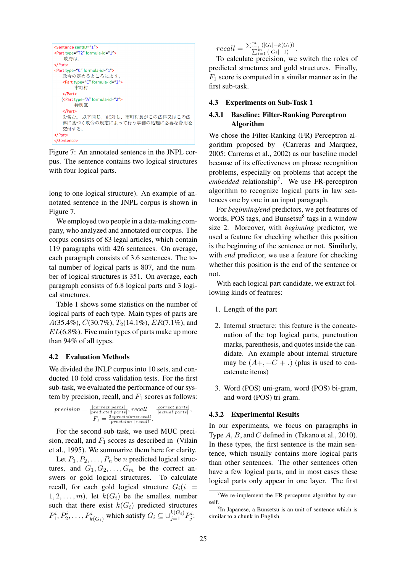```
<Sentence sentID="1">
<Part type="T2" formula-id="1">
   政府は、
</Part>
<Part type="C" formula-id="1">
   政令の定めるところにより、
   <Part type="C" formula-id="2">
       市町村
   </Part>
  (<Part type="A" formula-id="2">
      特別区
   </Part>
   。<br>を含む。 以下同じ。)に対し、市町村長がこの法律又はこの法
   律に基づく政令の規定によって行う事務の処理に必要な費用を
  交付する。
</Part>
</Sentence>
```
Figure 7: An annotated sentence in the JNPL corpus. The sentence contains two logical structures with four logical parts.

long to one logical structure). An example of annotated sentence in the JNPL corpus is shown in Figure 7.

We employed two people in a data-making company, who analyzed and annotated our corpus. The corpus consists of 83 legal articles, which contain 119 paragraphs with 426 sentences. On average, each paragraph consists of 3.6 sentences. The total number of logical parts is 807, and the number of logical structures is 351. On average, each paragraph consists of 6.8 logical parts and 3 logical structures.

Table 1 shows some statistics on the number of logical parts of each type. Main types of parts are  $A(35.4\%), C(30.7\%), T_2(14.1\%), ER(7.1\%),$  and  $EL(6.8\%)$ . Five main types of parts make up more than 94% of all types.

#### 4.2 Evaluation Methods

We divided the JNLP corpus into 10 sets, and conducted 10-fold cross-validation tests. For the first sub-task, we evaluated the performance of our system by precision, recall, and  $F_1$  scores as follows:

$$
precision = \frac{|\text{correct parts}|}{|\text{predicted parts}|}, recall = \frac{|\text{correct parts}|}{|\text{actual parts}|},
$$

$$
F_1 = \frac{2*precision*recall}{precision*recall}.
$$

For the second sub-task, we used MUC precision, recall, and  $F_1$  scores as described in (Vilain et al., 1995). We summarize them here for clarity.

Let  $P_1, P_2, \ldots, P_n$  be n predicted logical structures, and  $G_1, G_2, \ldots, G_m$  be the correct answers or gold logical structures. To calculate recall, for each gold logical structure  $G_i(i)$  $1, 2, \ldots, m$ , let  $k(G_i)$  be the smallest number such that there exist  $k(G_i)$  predicted structures  $P_1^i, P_2^i, \ldots, P_{k(G_i)}^i$  which satisfy  $G_i \subseteq \bigcup_{j=1}^{k(G_i)} P_j^i$ .

 $recall = \frac{\sum_{i=1}^{m} (|G_i| - k(G_i))}{\sum_{i=1}^{m} (|G_i| - 1)}.$ 

To calculate precision, we switch the roles of predicted structures and gold structures. Finally,  $F_1$  score is computed in a similar manner as in the first sub-task.

#### 4.3 Experiments on Sub-Task 1

# 4.3.1 Baseline: Filter-Ranking Perceptron Algorithm

We chose the Filter-Ranking (FR) Perceptron algorithm proposed by (Carreras and Marquez, 2005; Carreras et al., 2002) as our baseline model because of its effectiveness on phrase recognition problems, especially on problems that accept the *embedded* relationship<sup>7</sup> . We use FR-perceptron algorithm to recognize logical parts in law sentences one by one in an input paragraph.

For *beginning/end* predictors, we got features of words, POS tags, and Bunsetsu<sup>8</sup> tags in a window size 2. Moreover, with *beginning* predictor, we used a feature for checking whether this position is the beginning of the sentence or not. Similarly, with *end* predictor, we use a feature for checking whether this position is the end of the sentence or not.

With each logical part candidate, we extract following kinds of features:

- 1. Length of the part
- 2. Internal structure: this feature is the concatenation of the top logical parts, punctuation marks, parenthesis, and quotes inside the candidate. An example about internal structure may be  $(A+, +C + \cdot)$  (plus is used to concatenate items)
- 3. Word (POS) uni-gram, word (POS) bi-gram, and word (POS) tri-gram.

# 4.3.2 Experimental Results

In our experiments, we focus on paragraphs in Type A, B, and C defined in (Takano et al., 2010). In these types, the first sentence is the main sentence, which usually contains more logical parts than other sentences. The other sentences often have a few logical parts, and in most cases these logical parts only appear in one layer. The first

<sup>&</sup>lt;sup>7</sup>We re-implement the FR-perceptron algorithm by ourself.

<sup>8</sup> In Japanese, a Bunsetsu is an unit of sentence which is similar to a chunk in English.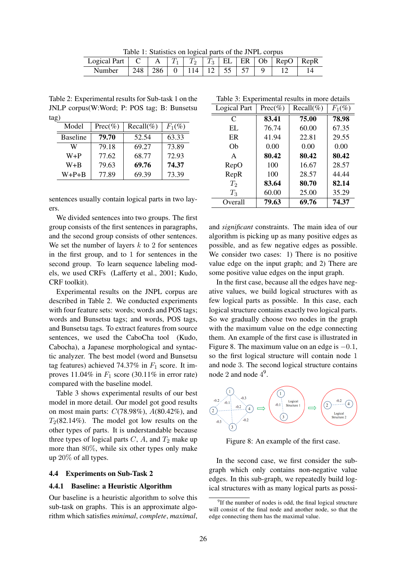Table 1: Statistics on logical parts of the JNPL corpus

| Logical Part |     |     | $\mathcal{L}$            | $T_3$ |  | EL ER Ob RepO RepR |  |
|--------------|-----|-----|--------------------------|-------|--|--------------------|--|
| Number       | 248 | 286 | $0$   114   12   55   57 |       |  |                    |  |

Table 2: Experimental results for Sub-task 1 on the JNLP corpus(W:Word; P: POS tag; B: Bunsetsu tag)

| Model           | $Prec(\%)$ | $Recall(\%)$ | $F_1(\%)$ |
|-----------------|------------|--------------|-----------|
| <b>Baseline</b> | 79.70      | 52.54        | 63.33     |
| W               | 79.18      | 69.27        | 73.89     |
| $W + P$         | 77.62      | 68.77        | 72.93     |
| W+B             | 79.63      | 69.76        | 74.37     |
| $W+P+B$         | 77.89      | 69.39        | 73.39     |

sentences usually contain logical parts in two layers.

We divided sentences into two groups. The first group consists of the first sentences in paragraphs, and the second group consists of other sentences. We set the number of layers  $k$  to 2 for sentences in the first group, and to 1 for sentences in the second group. To learn sequence labeling models, we used CRFs (Lafferty et al., 2001; Kudo, CRF toolkit).

Experimental results on the JNPL corpus are described in Table 2. We conducted experiments with four feature sets: words; words and POS tags; words and Bunsetsu tags; and words, POS tags, and Bunsetsu tags. To extract features from source sentences, we used the CaboCha tool (Kudo, Cabocha), a Japanese morphological and syntactic analyzer. The best model (word and Bunsetsu tag features) achieved 74.37% in  $F_1$  score. It improves  $11.04\%$  in  $F_1$  score (30.11% in error rate) compared with the baseline model.

Table 3 shows experimental results of our best model in more detail. Our model got good results on most main parts:  $C(78.98\%), A(80.42\%)$ , and  $T_2(82.14\%)$ . The model got low results on the other types of parts. It is understandable because three types of logical parts  $C$ ,  $A$ , and  $T_2$  make up more than 80%, while six other types only make up 20% of all types.

### 4.4 Experiments on Sub-Task 2

#### 4.4.1 Baseline: a Heuristic Algorithm

Our baseline is a heuristic algorithm to solve this sub-task on graphs. This is an approximate algorithm which satisfies *minimal*, *complete*, *maximal*,

Table 3: Experimental results in more details

| Logical Part | $Prec(\%)$ | $Recall(\%)$ | $F_1(\%)$ |
|--------------|------------|--------------|-----------|
| $\mathsf{C}$ | 83.41      | 75.00        | 78.98     |
| EL           | 76.74      | 60.00        | 67.35     |
| ER           | 41.94      | 22.81        | 29.55     |
| Ob           | 0.00       | 0.00         | 0.00      |
| $\mathsf{A}$ | 80.42      | 80.42        | 80.42     |
| RepO         | 100        | 16.67        | 28.57     |
| RepR         | 100        | 28.57        | 44.44     |
| $T_2$        | 83.64      | 80.70        | 82.14     |
| $T_3$        | 60.00      | 25.00        | 35.29     |
| Overall      | 79.63      | 69.76        | 74.37     |

and *significant* constraints. The main idea of our algorithm is picking up as many positive edges as possible, and as few negative edges as possible. We consider two cases: 1) There is no positive value edge on the input graph; and 2) There are some positive value edges on the input graph.

In the first case, because all the edges have negative values, we build logical structures with as few logical parts as possible. In this case, each logical structure contains exactly two logical parts. So we gradually choose two nodes in the graph with the maximum value on the edge connecting them. An example of the first case is illustrated in Figure 8. The maximum value on an edge is  $-0.1$ , so the first logical structure will contain node 1 and node 3. The second logical structure contains node 2 and node  $4^9$ .



Figure 8: An example of the first case.

In the second case, we first consider the subgraph which only contains non-negative value edges. In this sub-graph, we repeatedly build logical structures with as many logical parts as possi-

<sup>&</sup>lt;sup>9</sup>If the number of nodes is odd, the final logical structure will consist of the final node and another node, so that the edge connecting them has the maximal value.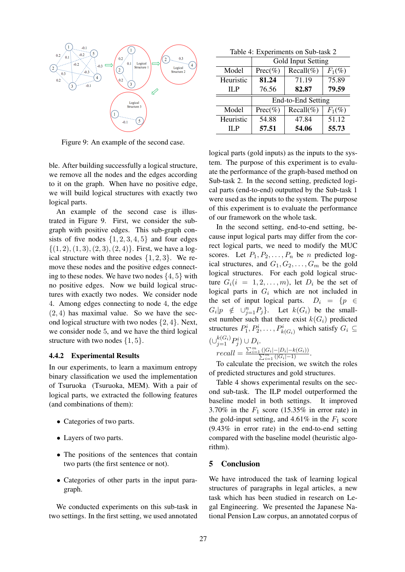

Figure 9: An example of the second case.

ble. After building successfully a logical structure, we remove all the nodes and the edges according to it on the graph. When have no positive edge, we will build logical structures with exactly two logical parts.

An example of the second case is illustrated in Figure 9. First, we consider the subgraph with positive edges. This sub-graph consists of five nodes  $\{1, 2, 3, 4, 5\}$  and four edges  $\{(1, 2), (1, 3), (2, 3), (2, 4)\}.$  First, we have a logical structure with three nodes  $\{1, 2, 3\}$ . We remove these nodes and the positive edges connecting to these nodes. We have two nodes  $\{4, 5\}$  with no positive edges. Now we build logical structures with exactly two nodes. We consider node 4. Among edges connecting to node 4, the edge  $(2, 4)$  has maximal value. So we have the second logical structure with two nodes {2, 4}. Next, we consider node 5, and we have the third logical structure with two nodes  $\{1, 5\}$ .

#### 4.4.2 Experimental Results

In our experiments, to learn a maximum entropy binary classification we used the implementation of Tsuruoka (Tsuruoka, MEM). With a pair of logical parts, we extracted the following features (and combinations of them):

- Categories of two parts.
- Layers of two parts.
- The positions of the sentences that contain two parts (the first sentence or not).
- Categories of other parts in the input paragraph.

We conducted experiments on this sub-task in two settings. In the first setting, we used annotated

Table 4: Experiments on Sub-task 2

|           | Gold Input Setting |                    |           |  |  |
|-----------|--------------------|--------------------|-----------|--|--|
| Model     | $Prec(\%)$         | Recall $(\%)$      | $F_1(\%)$ |  |  |
| Heuristic | 81.24              | 71.19              | 75.89     |  |  |
| IL P      | 76.56              | 82.87              | 79.59     |  |  |
|           |                    |                    |           |  |  |
|           |                    | End-to-End Setting |           |  |  |
| Model     | $Prec(\%)$         | $Recall(\%)$       | $F_1(\%)$ |  |  |
| Heuristic | 54.88              | 47.84              | 51.12     |  |  |

logical parts (gold inputs) as the inputs to the system. The purpose of this experiment is to evaluate the performance of the graph-based method on Sub-task 2. In the second setting, predicted logical parts (end-to-end) outputted by the Sub-task 1 were used as the inputs to the system. The purpose of this experiment is to evaluate the performance of our framework on the whole task.

In the second setting, end-to-end setting, because input logical parts may differ from the correct logical parts, we need to modify the MUC scores. Let  $P_1, P_2, \ldots, P_n$  be *n* predicted logical structures, and  $G_1, G_2, \ldots, G_m$  be the gold logical structures. For each gold logical structure  $G_i(i = 1, 2, \ldots, m)$ , let  $D_i$  be the set of logical parts in  $G_i$  which are not included in the set of input logical parts.  $D_i = \{p \in$  $G_i|p \notin \cup_{j=1}^n P_j$ . Let  $k(G_i)$  be the smallest number such that there exist  $k(G_i)$  predicted structures  $P_1^i, P_2^i, \ldots, P_{k(G_i)}^i$  which satisfy  $G_i \subseteq$  $(\cup_{j=1}^{k(G_i)} P_j^i) \cup D_i.$ 

$$
recall = \frac{\sum_{i=1}^{m} (|G_i| - |D_i| - k(G_i))}{\sum_{i=1}^{m} (|G_i| - 1)}.
$$

To calculate the precision, we switch the roles of predicted structures and gold structures.

Table 4 shows experimental results on the second sub-task. The ILP model outperformed the baseline model in both settings. It improved 3.70% in the  $F_1$  score (15.35% in error rate) in the gold-input setting, and  $4.61\%$  in the  $F_1$  score (9.43% in error rate) in the end-to-end setting compared with the baseline model (heuristic algorithm).

# 5 Conclusion

We have introduced the task of learning logical structures of paragraphs in legal articles, a new task which has been studied in research on Legal Engineering. We presented the Japanese National Pension Law corpus, an annotated corpus of